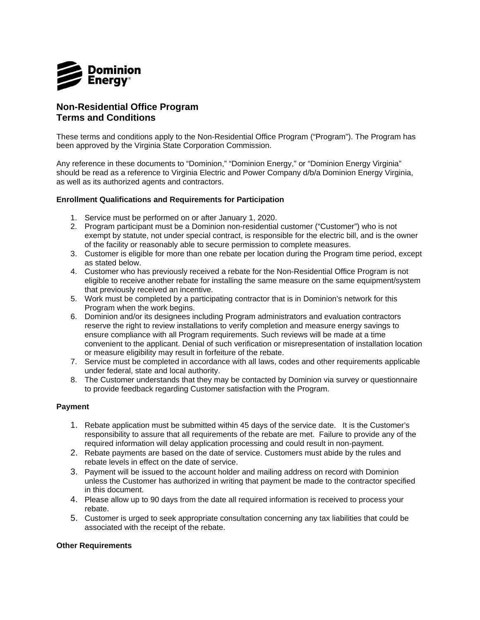

## **Non-Residential Office Program Terms and Conditions**

 These terms and conditions apply to the Non-Residential Office Program ("Program"). The Program has been approved by the Virginia State Corporation Commission.

 Any reference in these documents to "Dominion," "Dominion Energy," or "Dominion Energy Virginia" should be read as a reference to Virginia Electric and Power Company d/b/a Dominion Energy Virginia, as well as its authorized agents and contractors.

## **Enrollment Qualifications and Requirements for Participation**

- 1. Service must be performed on or after January 1, 2020.
- 2. Program participant must be a Dominion non-residential customer ("Customer") who is not exempt by statute, not under special contract, is responsible for the electric bill, and is the owner of the facility or reasonably able to secure permission to complete measures.
- 3. Customer is eligible for more than one rebate per location during the Program time period, except as stated below.
- 4. Customer who has previously received a rebate for the Non-Residential Office Program is not eligible to receive another rebate for installing the same measure on the same equipment/system that previously received an incentive.
- 5. Work must be completed by a participating contractor that is in Dominion's network for this Program when the work begins.
- 6. Dominion and/or its designees including Program administrators and evaluation contractors reserve the right to review installations to verify completion and measure energy savings to ensure compliance with all Program requirements. Such reviews will be made at a time convenient to the applicant. Denial of such verification or misrepresentation of installation location or measure eligibility may result in forfeiture of the rebate.
- 7. Service must be completed in accordance with all laws, codes and other requirements applicable under federal, state and local authority.
- 8. The Customer understands that they may be contacted by Dominion via survey or questionnaire to provide feedback regarding Customer satisfaction with the Program.

## **Payment**

- 1. Rebate application must be submitted within 45 days of the service date. It is the Customer's responsibility to assure that all requirements of the rebate are met. Failure to provide any of the required information will delay application processing and could result in non-payment.
- 2. Rebate payments are based on the date of service. Customers must abide by the rules and rebate levels in effect on the date of service.
- 3. Payment will be issued to the account holder and mailing address on record with Dominion unless the Customer has authorized in writing that payment be made to the contractor specified in this document.
- 4. Please allow up to 90 days from the date all required information is received to process your rebate.
- 5. Customer is urged to seek appropriate consultation concerning any tax liabilities that could be associated with the receipt of the rebate.

## **Other Requirements**